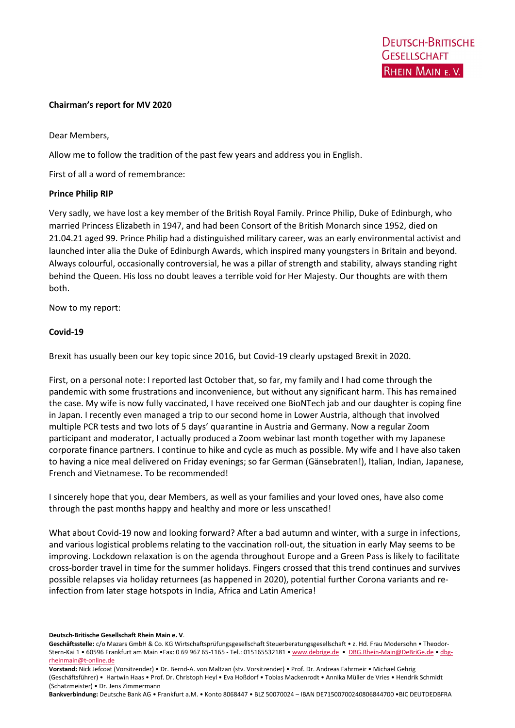#### Chairman's report for MV 2020

Dear Members,

Allow me to follow the tradition of the past few years and address you in English.

First of all a word of remembrance:

#### Prince Philip RIP

Very sadly, we have lost a key member of the British Royal Family. Prince Philip, Duke of Edinburgh, who married Princess Elizabeth in 1947, and had been Consort of the British Monarch since 1952, died on 21.04.21 aged 99. Prince Philip had a distinguished military career, was an early environmental activist and launched inter alia the Duke of Edinburgh Awards, which inspired many youngsters in Britain and beyond. Always colourful, occasionally controversial, he was a pillar of strength and stability, always standing right behind the Queen. His loss no doubt leaves a terrible void for Her Majesty. Our thoughts are with them both.

Now to my report:

#### Covid-19

Brexit has usually been our key topic since 2016, but Covid-19 clearly upstaged Brexit in 2020.

First, on a personal note: I reported last October that, so far, my family and I had come through the pandemic with some frustrations and inconvenience, but without any significant harm. This has remained the case. My wife is now fully vaccinated, I have received one BioNTech jab and our daughter is coping fine in Japan. I recently even managed a trip to our second home in Lower Austria, although that involved multiple PCR tests and two lots of 5 days' quarantine in Austria and Germany. Now a regular Zoom participant and moderator, I actually produced a Zoom webinar last month together with my Japanese corporate finance partners. I continue to hike and cycle as much as possible. My wife and I have also taken to having a nice meal delivered on Friday evenings; so far German (Gänsebraten!), Italian, Indian, Japanese, French and Vietnamese. To be recommended!

I sincerely hope that you, dear Members, as well as your families and your loved ones, have also come through the past months happy and healthy and more or less unscathed!

What about Covid-19 now and looking forward? After a bad autumn and winter, with a surge in infections, and various logistical problems relating to the vaccination roll-out, the situation in early May seems to be improving. Lockdown relaxation is on the agenda throughout Europe and a Green Pass is likely to facilitate cross-border travel in time for the summer holidays. Fingers crossed that this trend continues and survives possible relapses via holiday returnees (as happened in 2020), potential further Corona variants and reinfection from later stage hotspots in India, Africa and Latin America!

Deutsch-Britische Gesellschaft Rhein Main e. V.

Geschäftsstelle: c/o Mazars GmbH & Co. KG Wirtschaftsprüfungsgesellschaft Steuerberatungsgesellschaft • z. Hd. Frau Modersohn • Theodor-Stern-Kai 1 • 60596 Frankfurt am Main •Fax: 0 69 967 65-1165 - Tel.: 015165532181 • www.debrige.de • DBG.Rhein-Main@DeBriGe.de • dbgrheinmain@t-online.de

Vorstand: Nick Jefcoat (Vorsitzender) • Dr. Bernd-A. von Maltzan (stv. Vorsitzender) • Prof. Dr. Andreas Fahrmeir • Michael Gehrig (Geschäftsführer) • Hartwin Haas • Prof. Dr. Christoph Heyl • Eva Hoßdorf • Tobias Mackenrodt • Annika Müller de Vries • Hendrik Schmidt (Schatzmeister) • Dr. Jens Zimmermann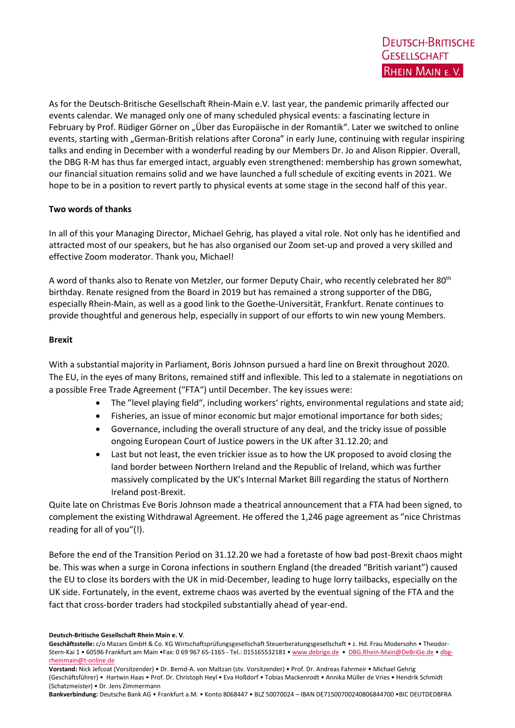As for the Deutsch-Britische Gesellschaft Rhein-Main e.V. last year, the pandemic primarily affected our events calendar. We managed only one of many scheduled physical events: a fascinating lecture in February by Prof. Rüdiger Görner on "Über das Europäische in der Romantik". Later we switched to online events, starting with "German-British relations after Corona" in early June, continuing with regular inspiring talks and ending in December with a wonderful reading by our Members Dr. Jo and Alison Rippier. Overall, the DBG R-M has thus far emerged intact, arguably even strengthened: membership has grown somewhat, our financial situation remains solid and we have launched a full schedule of exciting events in 2021. We hope to be in a position to revert partly to physical events at some stage in the second half of this year.

# Two words of thanks

In all of this your Managing Director, Michael Gehrig, has played a vital role. Not only has he identified and attracted most of our speakers, but he has also organised our Zoom set-up and proved a very skilled and effective Zoom moderator. Thank you, Michael!

A word of thanks also to Renate von Metzler, our former Deputy Chair, who recently celebrated her 80th birthday. Renate resigned from the Board in 2019 but has remained a strong supporter of the DBG, especially Rhein-Main, as well as a good link to the Goethe-Universität, Frankfurt. Renate continues to provide thoughtful and generous help, especially in support of our efforts to win new young Members.

## Brexit

With a substantial majority in Parliament, Boris Johnson pursued a hard line on Brexit throughout 2020. The EU, in the eyes of many Britons, remained stiff and inflexible. This led to a stalemate in negotiations on a possible Free Trade Agreement (″FTA") until December. The key issues were:

- The ″level playing field", including workers' rights, environmental regulations and state aid;
- Fisheries, an issue of minor economic but major emotional importance for both sides;
- Governance, including the overall structure of any deal, and the tricky issue of possible ongoing European Court of Justice powers in the UK after 31.12.20; and
- Last but not least, the even trickier issue as to how the UK proposed to avoid closing the land border between Northern Ireland and the Republic of Ireland, which was further massively complicated by the UK's Internal Market Bill regarding the status of Northern Ireland post-Brexit.

Quite late on Christmas Eve Boris Johnson made a theatrical announcement that a FTA had been signed, to complement the existing Withdrawal Agreement. He offered the 1,246 page agreement as ″nice Christmas reading for all of you"(!).

Before the end of the Transition Period on 31.12.20 we had a foretaste of how bad post-Brexit chaos might be. This was when a surge in Corona infections in southern England (the dreaded "British variant") caused the EU to close its borders with the UK in mid-December, leading to huge lorry tailbacks, especially on the UK side. Fortunately, in the event, extreme chaos was averted by the eventual signing of the FTA and the fact that cross-border traders had stockpiled substantially ahead of year-end.

Deutsch-Britische Gesellschaft Rhein Main e. V.

Geschäftsstelle: c/o Mazars GmbH & Co. KG Wirtschaftsprüfungsgesellschaft Steuerberatungsgesellschaft • z. Hd. Frau Modersohn • Theodor-Stern-Kai 1 • 60596 Frankfurt am Main •Fax: 0 69 967 65-1165 - Tel.: 015165532181 • www.debrige.de • DBG.Rhein-Main@DeBriGe.de • dbgrheinmain@t-online.de

Vorstand: Nick Jefcoat (Vorsitzender) • Dr. Bernd-A. von Maltzan (stv. Vorsitzender) • Prof. Dr. Andreas Fahrmeir • Michael Gehrig (Geschäftsführer) • Hartwin Haas • Prof. Dr. Christoph Heyl • Eva Hoßdorf • Tobias Mackenrodt • Annika Müller de Vries • Hendrik Schmidt (Schatzmeister) • Dr. Jens Zimmermann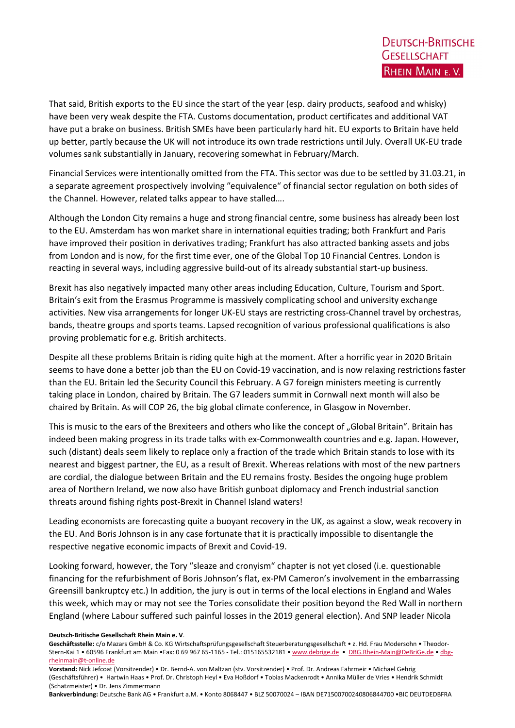That said, British exports to the EU since the start of the year (esp. dairy products, seafood and whisky) have been very weak despite the FTA. Customs documentation, product certificates and additional VAT have put a brake on business. British SMEs have been particularly hard hit. EU exports to Britain have held up better, partly because the UK will not introduce its own trade restrictions until July. Overall UK-EU trade volumes sank substantially in January, recovering somewhat in February/March.

Financial Services were intentionally omitted from the FTA. This sector was due to be settled by 31.03.21, in a separate agreement prospectively involving ″equivalence" of financial sector regulation on both sides of the Channel. However, related talks appear to have stalled….

Although the London City remains a huge and strong financial centre, some business has already been lost to the EU. Amsterdam has won market share in international equities trading; both Frankfurt and Paris have improved their position in derivatives trading; Frankfurt has also attracted banking assets and jobs from London and is now, for the first time ever, one of the Global Top 10 Financial Centres. London is reacting in several ways, including aggressive build-out of its already substantial start-up business.

Brexit has also negatively impacted many other areas including Education, Culture, Tourism and Sport. Britain's exit from the Erasmus Programme is massively complicating school and university exchange activities. New visa arrangements for longer UK-EU stays are restricting cross-Channel travel by orchestras, bands, theatre groups and sports teams. Lapsed recognition of various professional qualifications is also proving problematic for e.g. British architects.

Despite all these problems Britain is riding quite high at the moment. After a horrific year in 2020 Britain seems to have done a better job than the EU on Covid-19 vaccination, and is now relaxing restrictions faster than the EU. Britain led the Security Council this February. A G7 foreign ministers meeting is currently taking place in London, chaired by Britain. The G7 leaders summit in Cornwall next month will also be chaired by Britain. As will COP 26, the big global climate conference, in Glasgow in November.

This is music to the ears of the Brexiteers and others who like the concept of "Global Britain". Britain has indeed been making progress in its trade talks with ex-Commonwealth countries and e.g. Japan. However, such (distant) deals seem likely to replace only a fraction of the trade which Britain stands to lose with its nearest and biggest partner, the EU, as a result of Brexit. Whereas relations with most of the new partners are cordial, the dialogue between Britain and the EU remains frosty. Besides the ongoing huge problem area of Northern Ireland, we now also have British gunboat diplomacy and French industrial sanction threats around fishing rights post-Brexit in Channel Island waters!

Leading economists are forecasting quite a buoyant recovery in the UK, as against a slow, weak recovery in the EU. And Boris Johnson is in any case fortunate that it is practically impossible to disentangle the respective negative economic impacts of Brexit and Covid-19.

Looking forward, however, the Tory ″sleaze and cronyism" chapter is not yet closed (i.e. questionable financing for the refurbishment of Boris Johnson's flat, ex-PM Cameron's involvement in the embarrassing Greensill bankruptcy etc.) In addition, the jury is out in terms of the local elections in England and Wales this week, which may or may not see the Tories consolidate their position beyond the Red Wall in northern England (where Labour suffered such painful losses in the 2019 general election). And SNP leader Nicola

Deutsch-Britische Gesellschaft Rhein Main e. V.

Geschäftsstelle: c/o Mazars GmbH & Co. KG Wirtschaftsprüfungsgesellschaft Steuerberatungsgesellschaft • z. Hd. Frau Modersohn • Theodor-Stern-Kai 1 • 60596 Frankfurt am Main •Fax: 0 69 967 65-1165 - Tel.: 015165532181 • www.debrige.de • DBG.Rhein-Main@DeBriGe.de • dbgrheinmain@t-online.de

Vorstand: Nick Jefcoat (Vorsitzender) • Dr. Bernd-A. von Maltzan (stv. Vorsitzender) • Prof. Dr. Andreas Fahrmeir • Michael Gehrig (Geschäftsführer) • Hartwin Haas • Prof. Dr. Christoph Heyl • Eva Hoßdorf • Tobias Mackenrodt • Annika Müller de Vries • Hendrik Schmidt (Schatzmeister) • Dr. Jens Zimmermann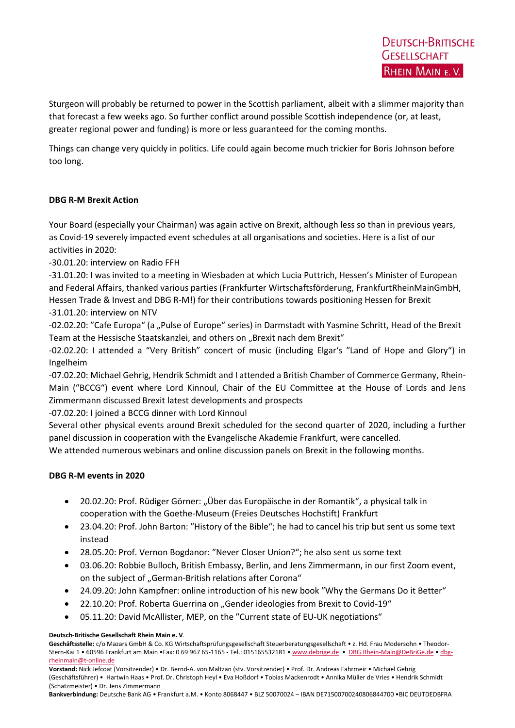Sturgeon will probably be returned to power in the Scottish parliament, albeit with a slimmer majority than that forecast a few weeks ago. So further conflict around possible Scottish independence (or, at least, greater regional power and funding) is more or less guaranteed for the coming months.

Things can change very quickly in politics. Life could again become much trickier for Boris Johnson before too long.

# DBG R-M Brexit Action

Your Board (especially your Chairman) was again active on Brexit, although less so than in previous years, as Covid-19 severely impacted event schedules at all organisations and societies. Here is a list of our activities in 2020:

-30.01.20: interview on Radio FFH

-31.01.20: I was invited to a meeting in Wiesbaden at which Lucia Puttrich, Hessen's Minister of European and Federal Affairs, thanked various parties (Frankfurter Wirtschaftsförderung, FrankfurtRheinMainGmbH, Hessen Trade & Invest and DBG R-M!) for their contributions towards positioning Hessen for Brexit -31.01.20: interview on NTV

-02.02.20: "Cafe Europa" (a "Pulse of Europe" series) in Darmstadt with Yasmine Schritt, Head of the Brexit Team at the Hessische Staatskanzlei, and others on "Brexit nach dem Brexit"

-02.02.20: I attended a "Very British" concert of music (including Elgar's ″Land of Hope and Glory") in Ingelheim

-07.02.20: Michael Gehrig, Hendrik Schmidt and I attended a British Chamber of Commerce Germany, Rhein-Main (″BCCG") event where Lord Kinnoul, Chair of the EU Committee at the House of Lords and Jens Zimmermann discussed Brexit latest developments and prospects

-07.02.20: I joined a BCCG dinner with Lord Kinnoul

Several other physical events around Brexit scheduled for the second quarter of 2020, including a further panel discussion in cooperation with the Evangelische Akademie Frankfurt, were cancelled.

We attended numerous webinars and online discussion panels on Brexit in the following months.

## DBG R-M events in 2020

- 20.02.20: Prof. Rüdiger Görner: "Über das Europäische in der Romantik", a physical talk in cooperation with the Goethe-Museum (Freies Deutsches Hochstift) Frankfurt
- 23.04.20: Prof. John Barton: ″History of the Bible"; he had to cancel his trip but sent us some text instead
- 28.05.20: Prof. Vernon Bogdanor: ″Never Closer Union?"; he also sent us some text
- 03.06.20: Robbie Bulloch, British Embassy, Berlin, and Jens Zimmermann, in our first Zoom event, on the subject of "German-British relations after Corona"
- 24.09.20: John Kampfner: online introduction of his new book "Why the Germans Do it Better"
- 22.10.20: Prof. Roberta Guerrina on "Gender ideologies from Brexit to Covid-19"
- 05.11.20: David McAllister, MEP, on the "Current state of EU-UK negotiations"

Deutsch-Britische Gesellschaft Rhein Main e. V.

Vorstand: Nick Jefcoat (Vorsitzender) • Dr. Bernd-A. von Maltzan (stv. Vorsitzender) • Prof. Dr. Andreas Fahrmeir • Michael Gehrig (Geschäftsführer) • Hartwin Haas • Prof. Dr. Christoph Heyl • Eva Hoßdorf • Tobias Mackenrodt • Annika Müller de Vries • Hendrik Schmidt (Schatzmeister) • Dr. Jens Zimmermann

Geschäftsstelle: c/o Mazars GmbH & Co. KG Wirtschaftsprüfungsgesellschaft Steuerberatungsgesellschaft • z. Hd. Frau Modersohn • Theodor-Stern-Kai 1 • 60596 Frankfurt am Main •Fax: 0 69 967 65-1165 - Tel.: 015165532181 • www.debrige.de • DBG.Rhein-Main@DeBriGe.de • dbgrheinmain@t-online.de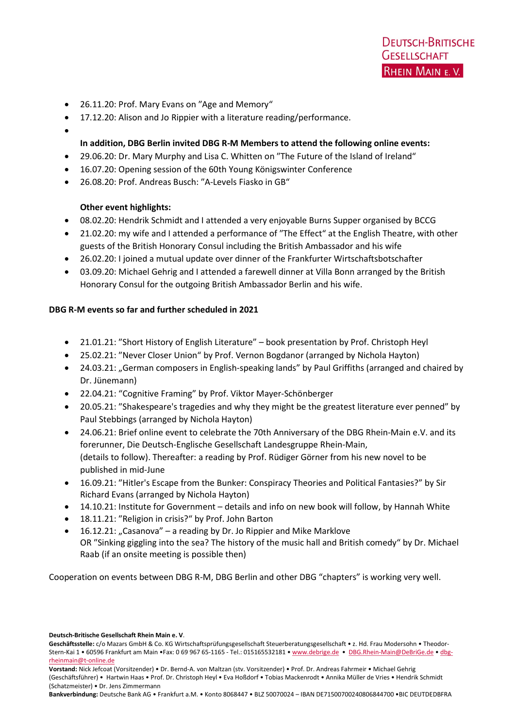- 26.11.20: Prof. Mary Evans on ″Age and Memory"
- 17.12.20: Alison and Jo Rippier with a literature reading/performance.
- $\bullet$

## In addition, DBG Berlin invited DBG R-M Members to attend the following online events:

- 29.06.20: Dr. Mary Murphy and Lisa C. Whitten on ″The Future of the Island of Ireland"
- 16.07.20: Opening session of the 60th Young Königswinter Conference
- 26.08.20: Prof. Andreas Busch: ″A-Levels Fiasko in GB"

## Other event highlights:

- 08.02.20: Hendrik Schmidt and I attended a very enjoyable Burns Supper organised by BCCG
- 21.02.20: my wife and I attended a performance of ″The Effect" at the English Theatre, with other guests of the British Honorary Consul including the British Ambassador and his wife
- 26.02.20: I joined a mutual update over dinner of the Frankfurter Wirtschaftsbotschafter
- 03.09.20: Michael Gehrig and I attended a farewell dinner at Villa Bonn arranged by the British Honorary Consul for the outgoing British Ambassador Berlin and his wife.

## DBG R-M events so far and further scheduled in 2021

- 21.01.21: ″Short History of English Literature" book presentation by Prof. Christoph Heyl
- 25.02.21: ″Never Closer Union" by Prof. Vernon Bogdanor (arranged by Nichola Hayton)
- 24.03.21: "German composers in English-speaking lands" by Paul Griffiths (arranged and chaired by Dr. Jünemann)
- 22.04.21: "Cognitive Framing" by Prof. Viktor Mayer-Schönberger
- 20.05.21: ″Shakespeare's tragedies and why they might be the greatest literature ever penned" by Paul Stebbings (arranged by Nichola Hayton)
- 24.06.21: Brief online event to celebrate the 70th Anniversary of the DBG Rhein-Main e.V. and its forerunner, Die Deutsch-Englische Gesellschaft Landesgruppe Rhein-Main, (details to follow). Thereafter: a reading by Prof. Rüdiger Görner from his new novel to be published in mid-June
- 16.09.21: ″Hitler's Escape from the Bunker: Conspiracy Theories and Political Fantasies?" by Sir Richard Evans (arranged by Nichola Hayton)
- 14.10.21: Institute for Government details and info on new book will follow, by Hannah White
- 18.11.21: ″Religion in crisis?" by Prof. John Barton
- 16.12.21: "Casanova" a reading by Dr. Jo Rippier and Mike Marklove OR ″Sinking giggling into the sea? The history of the music hall and British comedy" by Dr. Michael Raab (if an onsite meeting is possible then)

Cooperation on events between DBG R-M, DBG Berlin and other DBG "chapters" is working very well.

Deutsch-Britische Gesellschaft Rhein Main e. V.

Geschäftsstelle: c/o Mazars GmbH & Co. KG Wirtschaftsprüfungsgesellschaft Steuerberatungsgesellschaft • z. Hd. Frau Modersohn • Theodor-Stern-Kai 1 • 60596 Frankfurt am Main •Fax: 0 69 967 65-1165 - Tel.: 015165532181 • www.debrige.de • DBG.Rhein-Main@DeBriGe.de • dbgrheinmain@t-online.de

Vorstand: Nick Jefcoat (Vorsitzender) • Dr. Bernd-A. von Maltzan (stv. Vorsitzender) • Prof. Dr. Andreas Fahrmeir • Michael Gehrig (Geschäftsführer) • Hartwin Haas • Prof. Dr. Christoph Heyl • Eva Hoßdorf • Tobias Mackenrodt • Annika Müller de Vries • Hendrik Schmidt (Schatzmeister) • Dr. Jens Zimmermann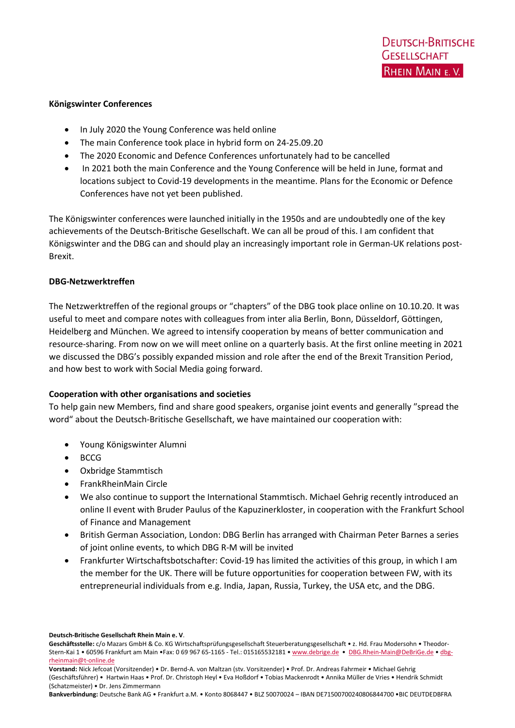#### Königswinter Conferences

- In July 2020 the Young Conference was held online
- The main Conference took place in hybrid form on 24-25.09.20
- The 2020 Economic and Defence Conferences unfortunately had to be cancelled
- In 2021 both the main Conference and the Young Conference will be held in June, format and locations subject to Covid-19 developments in the meantime. Plans for the Economic or Defence Conferences have not yet been published.

The Königswinter conferences were launched initially in the 1950s and are undoubtedly one of the key achievements of the Deutsch-Britische Gesellschaft. We can all be proud of this. I am confident that Königswinter and the DBG can and should play an increasingly important role in German-UK relations post-Brexit.

#### DBG-Netzwerktreffen

The Netzwerktreffen of the regional groups or "chapters" of the DBG took place online on 10.10.20. It was useful to meet and compare notes with colleagues from inter alia Berlin, Bonn, Düsseldorf, Göttingen, Heidelberg and München. We agreed to intensify cooperation by means of better communication and resource-sharing. From now on we will meet online on a quarterly basis. At the first online meeting in 2021 we discussed the DBG's possibly expanded mission and role after the end of the Brexit Transition Period, and how best to work with Social Media going forward.

## Cooperation with other organisations and societies

To help gain new Members, find and share good speakers, organise joint events and generally ″spread the word" about the Deutsch-Britische Gesellschaft, we have maintained our cooperation with:

- Young Königswinter Alumni
- BCCG
- Oxbridge Stammtisch
- FrankRheinMain Circle
- We also continue to support the International Stammtisch. Michael Gehrig recently introduced an online II event with Bruder Paulus of the Kapuzinerkloster, in cooperation with the Frankfurt School of Finance and Management
- British German Association, London: DBG Berlin has arranged with Chairman Peter Barnes a series of joint online events, to which DBG R-M will be invited
- Frankfurter Wirtschaftsbotschafter: Covid-19 has limited the activities of this group, in which I am the member for the UK. There will be future opportunities for cooperation between FW, with its entrepreneurial individuals from e.g. India, Japan, Russia, Turkey, the USA etc, and the DBG.

Deutsch-Britische Gesellschaft Rhein Main e. V.

Geschäftsstelle: c/o Mazars GmbH & Co. KG Wirtschaftsprüfungsgesellschaft Steuerberatungsgesellschaft • z. Hd. Frau Modersohn • Theodor-Stern-Kai 1 • 60596 Frankfurt am Main •Fax: 0 69 967 65-1165 - Tel.: 015165532181 • www.debrige.de • DBG.Rhein-Main@DeBriGe.de • dbgrheinmain@t-online.de

Vorstand: Nick Jefcoat (Vorsitzender) • Dr. Bernd-A. von Maltzan (stv. Vorsitzender) • Prof. Dr. Andreas Fahrmeir • Michael Gehrig (Geschäftsführer) • Hartwin Haas • Prof. Dr. Christoph Heyl • Eva Hoßdorf • Tobias Mackenrodt • Annika Müller de Vries • Hendrik Schmidt (Schatzmeister) • Dr. Jens Zimmermann